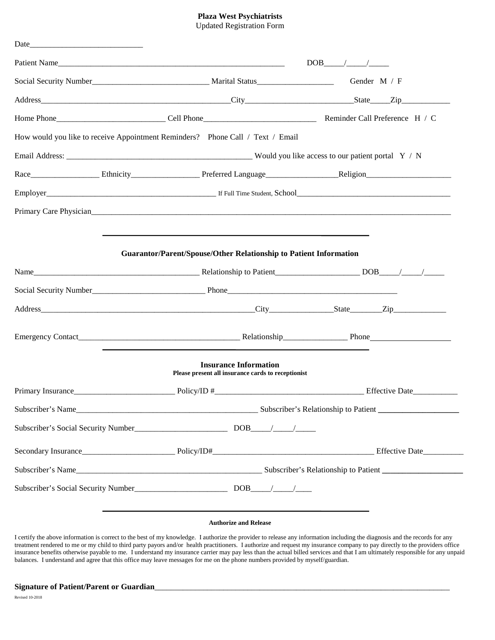# **Plaza West Psychiatrists**

|  | <b>Updated Registration Form</b> |  |
|--|----------------------------------|--|
|--|----------------------------------|--|

| How would you like to receive Appointment Reminders? Phone Call / Text / Email                                                                                                                                                 |  |  |  |
|--------------------------------------------------------------------------------------------------------------------------------------------------------------------------------------------------------------------------------|--|--|--|
|                                                                                                                                                                                                                                |  |  |  |
| Race Ethnicity Ethnicity Preferred Language Religion Religion                                                                                                                                                                  |  |  |  |
| Employer Full Time Student, School <b>Employer</b> Full Time Student, School <b>Employer</b>                                                                                                                                   |  |  |  |
| Primary Care Physician Manual Accounts and the Contract of the Contract of the Contract of the Contract of the Contract of the Contract of the Contract of the Contract of the Contract of the Contract of the Contract of the |  |  |  |
|                                                                                                                                                                                                                                |  |  |  |
| <b>Guarantor/Parent/Spouse/Other Relationship to Patient Information</b>                                                                                                                                                       |  |  |  |
|                                                                                                                                                                                                                                |  |  |  |
|                                                                                                                                                                                                                                |  |  |  |
|                                                                                                                                                                                                                                |  |  |  |
|                                                                                                                                                                                                                                |  |  |  |
| Emergency Contact Phone Phone Phone Phone Phone Phone Phone Phone Phone Phone Phone Phone Phone Phone Phone Phone Phone Phone Phone Phone Phone Phone Phone Phone Phone Phone Phone Phone Phone Phone Phone Phone Phone Phone  |  |  |  |
| <b>Insurance Information</b><br>Please present all insurance cards to receptionist                                                                                                                                             |  |  |  |
|                                                                                                                                                                                                                                |  |  |  |
|                                                                                                                                                                                                                                |  |  |  |
| Subscriber's Social Security Number<br><u> Land Contract Construction</u> DOB<br><u> Land Construction</u> DOB<br><u> Land Construction</u> DOB<br><u>Land Construction</u> DOB                                                |  |  |  |
|                                                                                                                                                                                                                                |  |  |  |
|                                                                                                                                                                                                                                |  |  |  |
|                                                                                                                                                                                                                                |  |  |  |

I certify the above information is correct to the best of my knowledge. I authorize the provider to release any information including the diagnosis and the records for any treatment rendered to me or my child to third party payors and/or health practitioners. I authorize and request my insurance company to pay directly to the providers office insurance benefits otherwise payable to me. I understand my insurance carrier may pay less than the actual billed services and that I am ultimately responsible for any unpaid balances. I understand and agree that this office may leave messages for me on the phone numbers provided by myself/guardian.

#### Signature of Patient/Parent or Guardian

Revised 10-2018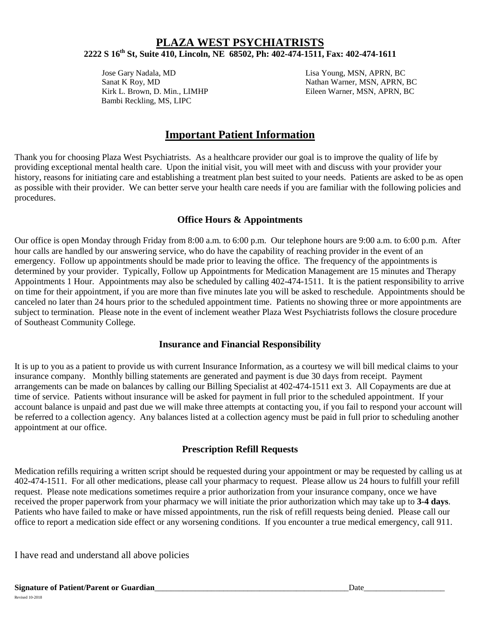## **PLAZA WEST PSYCHIATRISTS 2222 S 16th St, Suite 410, Lincoln, NE 68502, Ph: 402-474-1511, Fax: 402-474-1611**

Jose Gary Nadala, MD Lisa Young, MSN, APRN, BC Bambi Reckling, MS, LIPC

Sanat K Roy, MD Nathan Warner, MSN, APRN, BC Kirk L. Brown, D. Min., LIMHP Eileen Warner, MSN, APRN, BC

# **Important Patient Information**

Thank you for choosing Plaza West Psychiatrists. As a healthcare provider our goal is to improve the quality of life by providing exceptional mental health care. Upon the initial visit, you will meet with and discuss with your provider your history, reasons for initiating care and establishing a treatment plan best suited to your needs. Patients are asked to be as open as possible with their provider. We can better serve your health care needs if you are familiar with the following policies and procedures.

#### **Office Hours & Appointments**

Our office is open Monday through Friday from 8:00 a.m. to 6:00 p.m. Our telephone hours are 9:00 a.m. to 6:00 p.m. After hour calls are handled by our answering service, who do have the capability of reaching provider in the event of an emergency. Follow up appointments should be made prior to leaving the office. The frequency of the appointments is determined by your provider. Typically, Follow up Appointments for Medication Management are 15 minutes and Therapy Appointments 1 Hour. Appointments may also be scheduled by calling 402-474-1511. It is the patient responsibility to arrive on time for their appointment, if you are more than five minutes late you will be asked to reschedule. Appointments should be canceled no later than 24 hours prior to the scheduled appointment time. Patients no showing three or more appointments are subject to termination. Please note in the event of inclement weather Plaza West Psychiatrists follows the closure procedure of Southeast Community College.

#### **Insurance and Financial Responsibility**

It is up to you as a patient to provide us with current Insurance Information, as a courtesy we will bill medical claims to your insurance company. Monthly billing statements are generated and payment is due 30 days from receipt. Payment arrangements can be made on balances by calling our Billing Specialist at 402-474-1511 ext 3. All Copayments are due at time of service. Patients without insurance will be asked for payment in full prior to the scheduled appointment. If your account balance is unpaid and past due we will make three attempts at contacting you, if you fail to respond your account will be referred to a collection agency. Any balances listed at a collection agency must be paid in full prior to scheduling another appointment at our office.

### **Prescription Refill Requests**

Medication refills requiring a written script should be requested during your appointment or may be requested by calling us at 402-474-1511. For all other medications, please call your pharmacy to request. Please allow us 24 hours to fulfill your refill request. Please note medications sometimes require a prior authorization from your insurance company, once we have received the proper paperwork from your pharmacy we will initiate the prior authorization which may take up to **3-4 days**. Patients who have failed to make or have missed appointments, run the risk of refill requests being denied. Please call our office to report a medication side effect or any worsening conditions. If you encounter a true medical emergency, call 911.

I have read and understand all above policies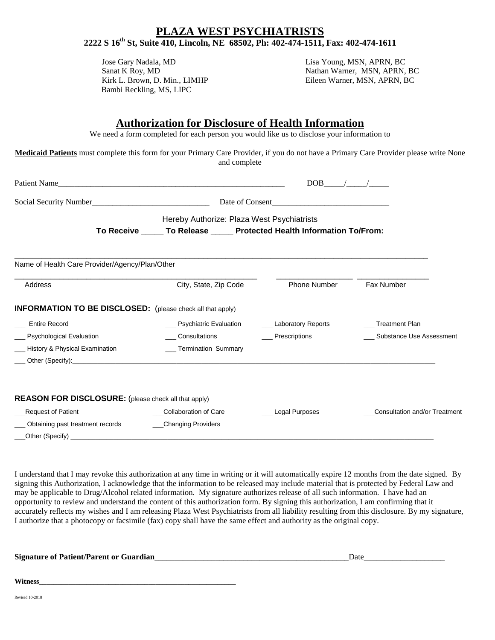### **PLAZA WEST PSYCHIATRISTS 2222 S 16th St, Suite 410, Lincoln, NE 68502, Ph: 402-474-1511, Fax: 402-474-1611**

Jose Gary Nadala, MD Lisa Young, MSN, APRN, BC Bambi Reckling, MS, LIPC

Sanat K Roy, MD Nathan Warner, MSN, APRN, BC Kirk L. Brown, D. Min., LIMHP Eileen Warner, MSN, APRN, BC

### **Authorization for Disclosure of Health Information**

We need a form completed for each person you would like us to disclose your information to

**Medicaid Patients** must complete this form for your Primary Care Provider, if you do not have a Primary Care Provider please write None and complete

|                                                                   | Patient Name                                                              | $DOB$ / /             |                                      |
|-------------------------------------------------------------------|---------------------------------------------------------------------------|-----------------------|--------------------------------------|
|                                                                   |                                                                           |                       |                                      |
|                                                                   | Hereby Authorize: Plaza West Psychiatrists                                |                       |                                      |
|                                                                   | To Receive ______ To Release ______ Protected Health Information To/From: |                       |                                      |
| Name of Health Care Provider/Agency/Plan/Other                    |                                                                           |                       |                                      |
| Address                                                           | City, State, Zip Code                                                     | <b>Phone Number</b>   | Fax Number                           |
| <b>INFORMATION TO BE DISCLOSED:</b> (please check all that apply) |                                                                           |                       |                                      |
| <b>Entire Record</b>                                              | __ Psychiatric Evaluation                                                 | __ Laboratory Reports | <b>Treatment Plan</b>                |
| Psychological Evaluation                                          | Consultations Consultations                                               | ___ Prescriptions     | Substance Use Assessment             |
| History & Physical Examination                                    | __ Termination Summary                                                    |                       |                                      |
|                                                                   |                                                                           |                       |                                      |
| <b>REASON FOR DISCLOSURE:</b> (please check all that apply)       |                                                                           |                       |                                      |
| <b>Request of Patient</b>                                         | Collaboration of Care                                                     | Legal Purposes        | <b>Consultation and/or Treatment</b> |
| Obtaining past treatment records                                  | _Changing Providers<br>$\mathcal{L}$                                      |                       |                                      |
|                                                                   |                                                                           |                       |                                      |

I understand that I may revoke this authorization at any time in writing or it will automatically expire 12 months from the date signed. By signing this Authorization, I acknowledge that the information to be released may include material that is protected by Federal Law and may be applicable to Drug/Alcohol related information. My signature authorizes release of all such information. I have had an opportunity to review and understand the content of this authorization form. By signing this authorization, I am confirming that it accurately reflects my wishes and I am releasing Plaza West Psychiatrists from all liability resulting from this disclosure. By my signature, I authorize that a photocopy or facsimile (fax) copy shall have the same effect and authority as the original copy.

**Signature** of Patient/Parent or Guardian

**Witness\_\_\_\_\_\_\_\_\_\_\_\_\_\_\_\_\_\_\_\_\_\_\_\_\_\_\_\_\_\_\_\_\_\_\_\_\_\_\_\_\_\_\_\_\_\_\_\_\_\_\_\_\_\_**

Revised 10-2018